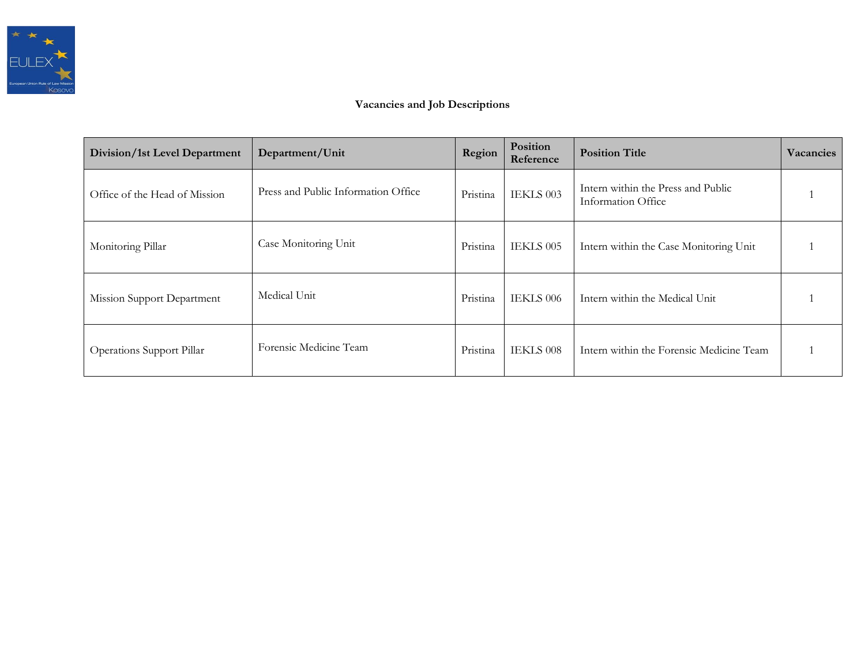

# **Vacancies and Job Descriptions**

| Division/1st Level Department | Department/Unit                     | Region   | Position<br>Reference | <b>Position Title</b>                                    | Vacancies |
|-------------------------------|-------------------------------------|----------|-----------------------|----------------------------------------------------------|-----------|
| Office of the Head of Mission | Press and Public Information Office | Pristina | IEKLS 003             | Intern within the Press and Public<br>Information Office |           |
| Monitoring Pillar             | Case Monitoring Unit                | Pristina | IEKLS 005             | Intern within the Case Monitoring Unit                   |           |
| Mission Support Department    | Medical Unit                        | Pristina | IEKLS 006             | Intern within the Medical Unit                           |           |
| Operations Support Pillar     | Forensic Medicine Team              | Pristina | IEKLS 008             | Intern within the Forensic Medicine Team                 |           |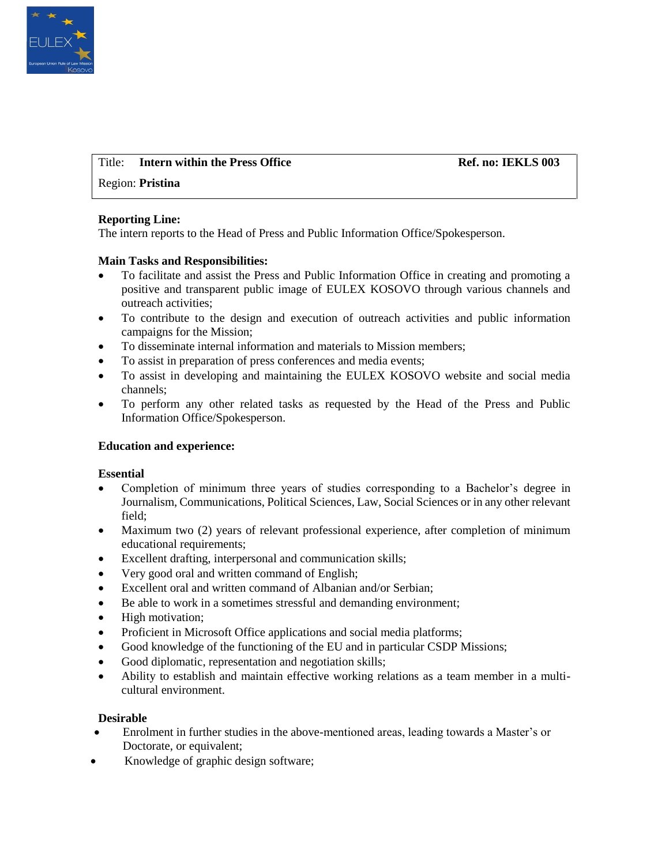

# Title: **Intern within the Press Office Server Access 1986** Ref. no: **IEKLS 003**

### Region: **Pristina**

### **Reporting Line:**

The intern reports to the Head of Press and Public Information Office/Spokesperson.

### **Main Tasks and Responsibilities:**

- To facilitate and assist the Press and Public Information Office in creating and promoting a positive and transparent public image of EULEX KOSOVO through various channels and outreach activities;
- To contribute to the design and execution of outreach activities and public information campaigns for the Mission;
- To disseminate internal information and materials to Mission members;
- To assist in preparation of press conferences and media events;
- To assist in developing and maintaining the EULEX KOSOVO website and social media channels;
- To perform any other related tasks as requested by the Head of the Press and Public Information Office/Spokesperson.

### **Education and experience:**

### **Essential**

- Completion of minimum three years of studies corresponding to a Bachelor's degree in Journalism, Communications, Political Sciences, Law, Social Sciences or in any other relevant field;
- Maximum two (2) years of relevant professional experience, after completion of minimum educational requirements;
- Excellent drafting, interpersonal and communication skills;
- Very good oral and written command of English;
- Excellent oral and written command of Albanian and/or Serbian;
- Be able to work in a sometimes stressful and demanding environment;
- High motivation;
- Proficient in Microsoft Office applications and social media platforms;
- Good knowledge of the functioning of the EU and in particular CSDP Missions;
- Good diplomatic, representation and negotiation skills;
- Ability to establish and maintain effective working relations as a team member in a multicultural environment.

- Enrolment in further studies in the above-mentioned areas, leading towards a Master's or Doctorate, or equivalent;
- Knowledge of graphic design software;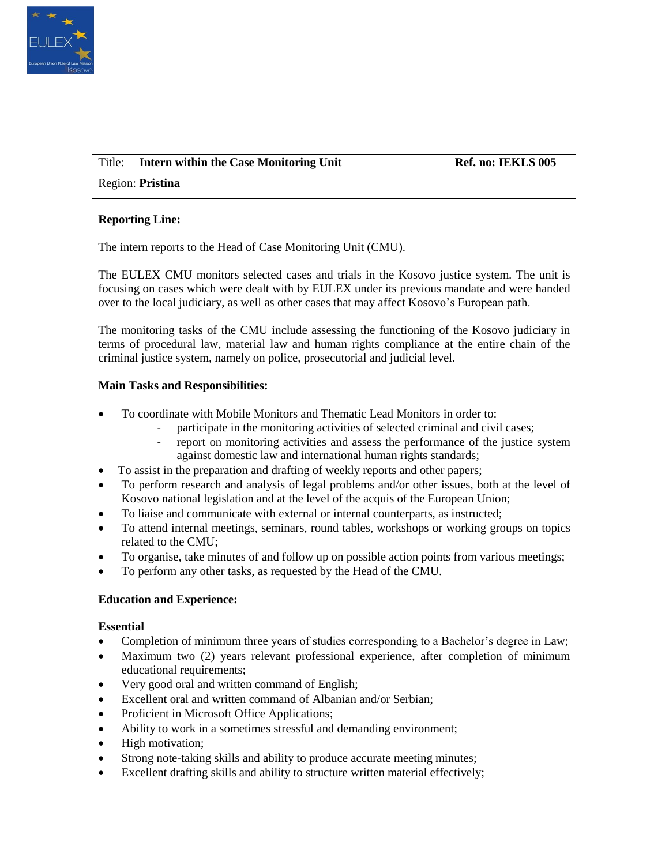

# Title: Intern within the Case Monitoring Unit Ref. no: IEKLS 005

Region: **Pristina**

### **Reporting Line:**

The intern reports to the Head of Case Monitoring Unit (CMU).

The EULEX CMU monitors selected cases and trials in the Kosovo justice system. The unit is focusing on cases which were dealt with by EULEX under its previous mandate and were handed over to the local judiciary, as well as other cases that may affect Kosovo's European path.

The monitoring tasks of the CMU include assessing the functioning of the Kosovo judiciary in terms of procedural law, material law and human rights compliance at the entire chain of the criminal justice system, namely on police, prosecutorial and judicial level.

### **Main Tasks and Responsibilities:**

- To coordinate with Mobile Monitors and Thematic Lead Monitors in order to:
	- participate in the monitoring activities of selected criminal and civil cases;
	- report on monitoring activities and assess the performance of the justice system against domestic law and international human rights standards;
- To assist in the preparation and drafting of weekly reports and other papers;
- To perform research and analysis of legal problems and/or other issues, both at the level of Kosovo national legislation and at the level of the acquis of the European Union;
- To liaise and communicate with external or internal counterparts, as instructed;
- To attend internal meetings, seminars, round tables, workshops or working groups on topics related to the CMU;
- To organise, take minutes of and follow up on possible action points from various meetings;
- To perform any other tasks, as requested by the Head of the CMU.

# **Education and Experience:**

### **Essential**

- Completion of minimum three years of studies corresponding to a Bachelor's degree in Law;
- Maximum two (2) years relevant professional experience, after completion of minimum educational requirements;
- Very good oral and written command of English;
- Excellent oral and written command of Albanian and/or Serbian;
- Proficient in Microsoft Office Applications;
- Ability to work in a sometimes stressful and demanding environment;
- High motivation;
- Strong note-taking skills and ability to produce accurate meeting minutes;
- Excellent drafting skills and ability to structure written material effectively;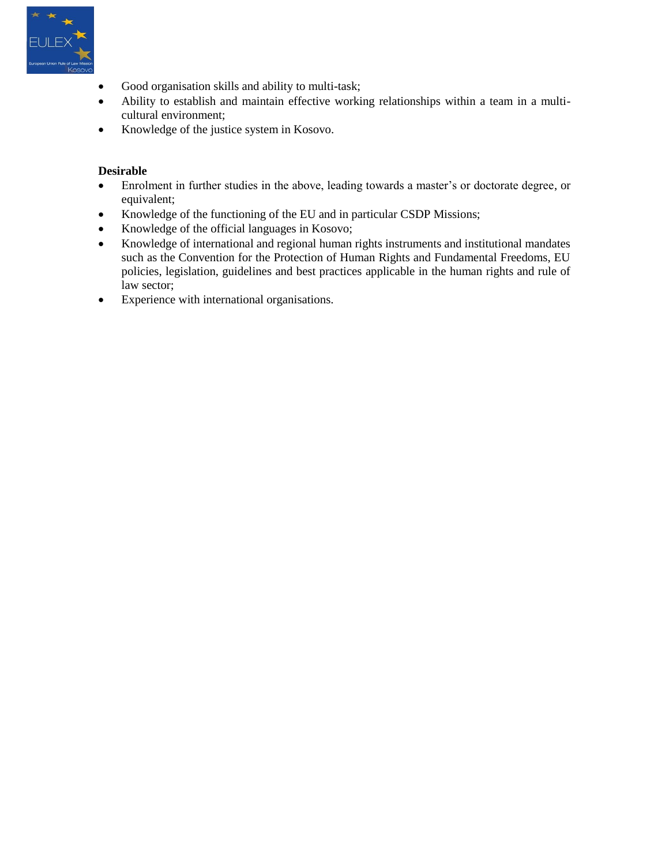

- Good organisation skills and ability to multi-task;
- Ability to establish and maintain effective working relationships within a team in a multicultural environment;
- Knowledge of the justice system in Kosovo.

- Enrolment in further studies in the above, leading towards a master's or doctorate degree, or equivalent;
- Knowledge of the functioning of the EU and in particular CSDP Missions;
- Knowledge of the official languages in Kosovo;
- Knowledge of international and regional human rights instruments and institutional mandates such as the Convention for the Protection of Human Rights and Fundamental Freedoms, EU policies, legislation, guidelines and best practices applicable in the human rights and rule of law sector;
- Experience with international organisations.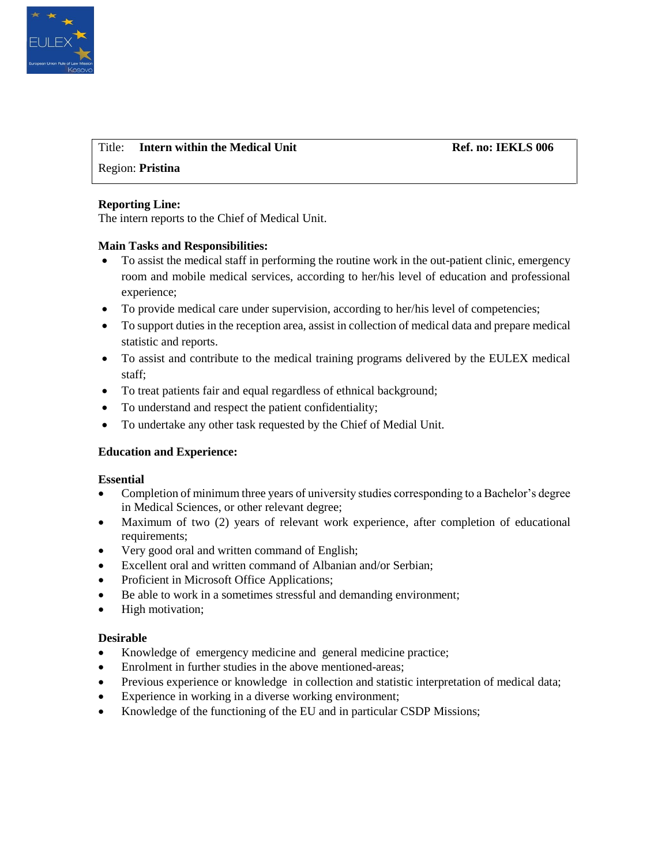

# Title: **Intern within the Medical Unit Community Ref. no: IEKLS 006**

# Region: **Pristina**

### **Reporting Line:**

The intern reports to the Chief of Medical Unit.

### **Main Tasks and Responsibilities:**

- To assist the medical staff in performing the routine work in the out-patient clinic, emergency room and mobile medical services, according to her/his level of education and professional experience;
- To provide medical care under supervision, according to her/his level of competencies;
- To support duties in the reception area, assist in collection of medical data and prepare medical statistic and reports.
- To assist and contribute to the medical training programs delivered by the EULEX medical staff;
- To treat patients fair and equal regardless of ethnical background;
- To understand and respect the patient confidentiality;
- To undertake any other task requested by the Chief of Medial Unit.

### **Education and Experience:**

### **Essential**

- Completion of minimum three years of university studies corresponding to a Bachelor's degree in Medical Sciences, or other relevant degree;
- Maximum of two (2) years of relevant work experience, after completion of educational requirements;
- Very good oral and written command of English;
- Excellent oral and written command of Albanian and/or Serbian;
- Proficient in Microsoft Office Applications;
- Be able to work in a sometimes stressful and demanding environment;
- High motivation;

- Knowledge of emergency medicine and general medicine practice;
- Enrolment in further studies in the above mentioned-areas;
- Previous experience or knowledge in collection and statistic interpretation of medical data;
- Experience in working in a diverse working environment;
- Knowledge of the functioning of the EU and in particular CSDP Missions;